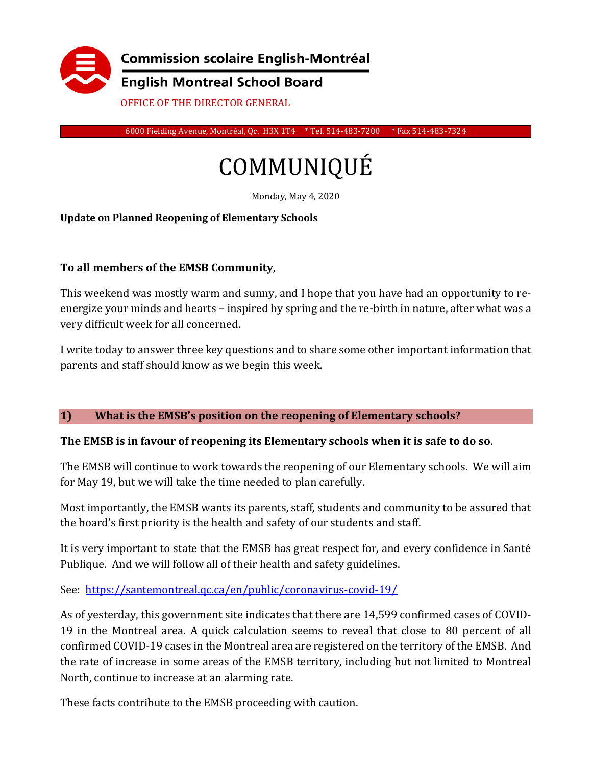

6000 Fielding Avenue, Montréal, Qc. H3X 1T4 \* Tel. 514-483-7200 \* Fax 514-483-7324

# COMMUNIQUÉ

Monday, May 4, 2020

#### **Update on Planned Reopening of Elementary Schools**

#### **To all members of the EMSB Community**,

This weekend was mostly warm and sunny, and I hope that you have had an opportunity to reenergize your minds and hearts – inspired by spring and the re-birth in nature, after what was a very difficult week for all concerned.

I write today to answer three key questions and to share some other important information that parents and staff should know as we begin this week.

#### **1) What is the EMSB's position on the reopening of Elementary schools?**

#### **The EMSB is in favour of reopening its Elementary schools when it is safe to do so**.

The EMSB will continue to work towards the reopening of our Elementary schools. We will aim for May 19, but we will take the time needed to plan carefully.

Most importantly, the EMSB wants its parents, staff, students and community to be assured that the board's first priority is the health and safety of our students and staff.

It is very important to state that the EMSB has great respect for, and every confidence in Santé Publique. And we will follow all of their health and safety guidelines.

See: <https://santemontreal.qc.ca/en/public/coronavirus-covid-19/>

As of yesterday, this government site indicates that there are 14,599 confirmed cases of COVID-19 in the Montreal area. A quick calculation seems to reveal that close to 80 percent of all confirmed COVID-19 cases in the Montreal area are registered on the territory of the EMSB. And the rate of increase in some areas of the EMSB territory, including but not limited to Montreal North, continue to increase at an alarming rate.

These facts contribute to the EMSB proceeding with caution.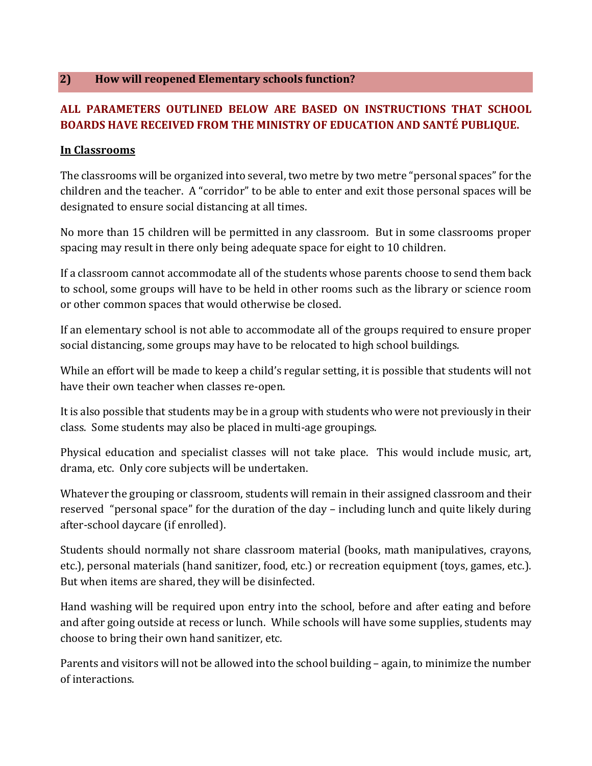#### **2) How will reopened Elementary schools function?**

## **ALL PARAMETERS OUTLINED BELOW ARE BASED ON INSTRUCTIONS THAT SCHOOL BOARDS HAVE RECEIVED FROM THE MINISTRY OF EDUCATION AND SANTÉ PUBLIQUE.**

#### **In Classrooms**

The classrooms will be organized into several, two metre by two metre "personal spaces" for the children and the teacher. A "corridor" to be able to enter and exit those personal spaces will be designated to ensure social distancing at all times.

No more than 15 children will be permitted in any classroom. But in some classrooms proper spacing may result in there only being adequate space for eight to 10 children.

If a classroom cannot accommodate all of the students whose parents choose to send them back to school, some groups will have to be held in other rooms such as the library or science room or other common spaces that would otherwise be closed.

If an elementary school is not able to accommodate all of the groups required to ensure proper social distancing, some groups may have to be relocated to high school buildings.

While an effort will be made to keep a child's regular setting, it is possible that students will not have their own teacher when classes re-open.

It is also possible that students may be in a group with students who were not previously in their class. Some students may also be placed in multi-age groupings.

Physical education and specialist classes will not take place. This would include music, art, drama, etc. Only core subjects will be undertaken.

Whatever the grouping or classroom, students will remain in their assigned classroom and their reserved "personal space" for the duration of the day – including lunch and quite likely during after-school daycare (if enrolled).

Students should normally not share classroom material (books, math manipulatives, crayons, etc.), personal materials (hand sanitizer, food, etc.) or recreation equipment (toys, games, etc.). But when items are shared, they will be disinfected.

Hand washing will be required upon entry into the school, before and after eating and before and after going outside at recess or lunch. While schools will have some supplies, students may choose to bring their own hand sanitizer, etc.

Parents and visitors will not be allowed into the school building – again, to minimize the number of interactions.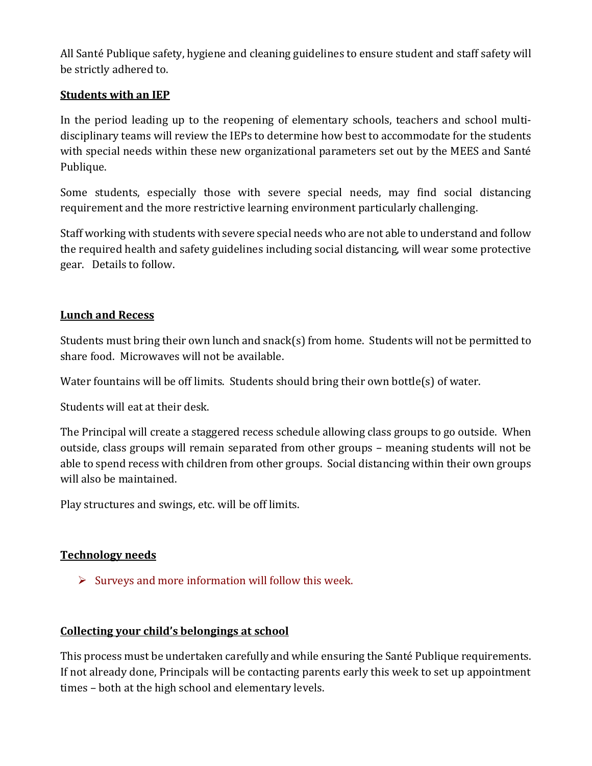All Santé Publique safety, hygiene and cleaning guidelines to ensure student and staff safety will be strictly adhered to.

### **Students with an IEP**

In the period leading up to the reopening of elementary schools, teachers and school multidisciplinary teams will review the IEPs to determine how best to accommodate for the students with special needs within these new organizational parameters set out by the MEES and Santé Publique.

Some students, especially those with severe special needs, may find social distancing requirement and the more restrictive learning environment particularly challenging.

Staff working with students with severe special needs who are not able to understand and follow the required health and safety guidelines including social distancing, will wear some protective gear. Details to follow.

#### **Lunch and Recess**

Students must bring their own lunch and snack(s) from home. Students will not be permitted to share food. Microwaves will not be available.

Water fountains will be off limits. Students should bring their own bottle(s) of water.

Students will eat at their desk.

The Principal will create a staggered recess schedule allowing class groups to go outside. When outside, class groups will remain separated from other groups – meaning students will not be able to spend recess with children from other groups. Social distancing within their own groups will also be maintained.

Play structures and swings, etc. will be off limits.

## **Technology needs**

 $\triangleright$  Surveys and more information will follow this week.

#### **Collecting your child's belongings at school**

This process must be undertaken carefully and while ensuring the Santé Publique requirements. If not already done, Principals will be contacting parents early this week to set up appointment times – both at the high school and elementary levels.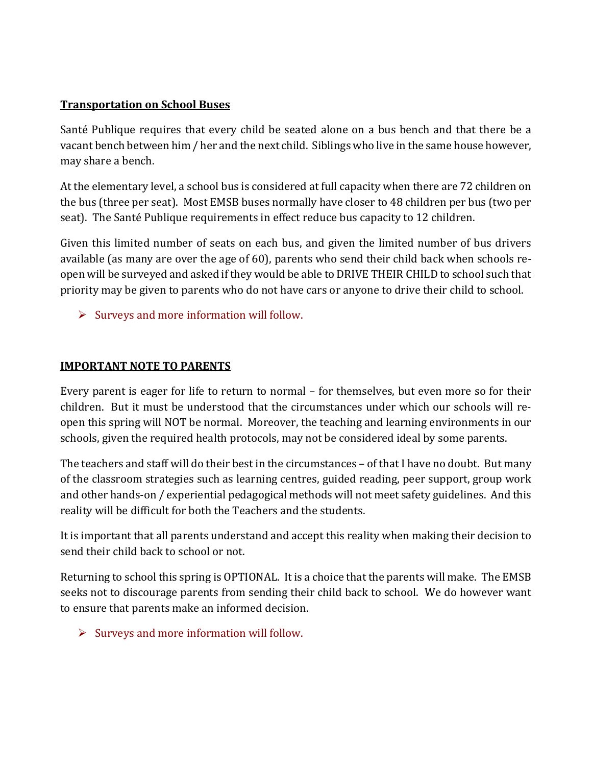#### **Transportation on School Buses**

Santé Publique requires that every child be seated alone on a bus bench and that there be a vacant bench between him / her and the next child. Siblings who live in the same house however, may share a bench.

At the elementary level, a school bus is considered at full capacity when there are 72 children on the bus (three per seat). Most EMSB buses normally have closer to 48 children per bus (two per seat). The Santé Publique requirements in effect reduce bus capacity to 12 children.

Given this limited number of seats on each bus, and given the limited number of bus drivers available (as many are over the age of 60), parents who send their child back when schools reopen will be surveyed and asked if they would be able to DRIVE THEIR CHILD to school such that priority may be given to parents who do not have cars or anyone to drive their child to school.

 $\triangleright$  Surveys and more information will follow.

#### **IMPORTANT NOTE TO PARENTS**

Every parent is eager for life to return to normal – for themselves, but even more so for their children. But it must be understood that the circumstances under which our schools will reopen this spring will NOT be normal. Moreover, the teaching and learning environments in our schools, given the required health protocols, may not be considered ideal by some parents.

The teachers and staff will do their best in the circumstances – of that I have no doubt. But many of the classroom strategies such as learning centres, guided reading, peer support, group work and other hands-on / experiential pedagogical methods will not meet safety guidelines. And this reality will be difficult for both the Teachers and the students.

It is important that all parents understand and accept this reality when making their decision to send their child back to school or not.

Returning to school this spring is OPTIONAL. It is a choice that the parents will make. The EMSB seeks not to discourage parents from sending their child back to school. We do however want to ensure that parents make an informed decision.

 $\triangleright$  Surveys and more information will follow.